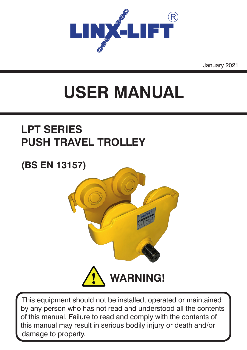

January 2021

# **USER MANUAL**

## **LPT SERIES PUSH TRAVEL TROLLEY**

### **(BS EN 13157)**



This equipment should not be installed, operated or maintained by any person who has not read and understood all the contents of this manual. Failure to read and comply with the contents of this manual may result in serious bodily injury or death and/or damage to property.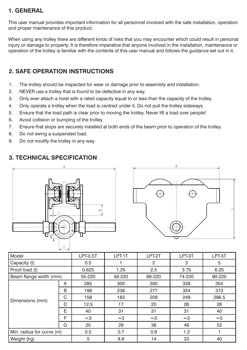#### **1. GENERAL**

This user manual provides important information for all personnel involved with the safe installation, operation and proper maintenance of this product.

When using any trolley there are different kinds of risks that you may encounter which could result in personal injury or damage to property. It is therefore imperative that anyone involved in the installation, maintenance or operation of the trolley is familiar with the contents of this user manual and follows the guidance set out in it.

#### **2. SAFE OPERATION INSTRUCTIONS**

- 1. The trolley should be inspected for wear or damage prior to assembly and installation.
- 2. NEVER use a trolley that is found to be defective in any way.
- 3. Only ever attach a hoist with a rated capacity equal to or less than the capacity of the trolley.
- 4. Only operate a trolley when the load is centred under it. Do not pull the trolley sideways.
- 5. Ensure that the load path is clear prior to moving the trolley. Never lift a load over people!
- 6. Avoid collision or bumping of the trolley.
- 7. Ensure that stops are securely installed at both ends of the beam prior to operation of the trolley.
- 8. Do not swing a suspended load.
- 9. Do not modify the trolley in any way.

#### **3. TECHNICAL SPECIFICATION**





| l Model                   |   | <b>LPT-0.5T</b> | LPT-1T      | LPT-2T      | LPT-3T      | LPT-5T      |
|---------------------------|---|-----------------|-------------|-------------|-------------|-------------|
| Capacity (t)              |   | 0.5             |             | 2           | 3           | 5           |
| Proof load (t)            |   | 0.625           | 1.25        | 2.5         | 3.75        | 6.25        |
| Beam flange width (mm)    |   | 55-220          | 58-220      | 66-220      | 74-220      | 90-220      |
| Dimensions (mm)           | A | 285             | 300         | 300         | 328         | 354         |
|                           | B | 198             | 238         | 277         | 324         | 373         |
|                           | C | 158             | 183         | 208         | 249         | 296.5       |
|                           | D | 12.5            | 17          | 20          | 26          | 28          |
|                           | E | 40              | 31          | 31          | 31          | 40          |
|                           | F | $\approx 3$     | $\approx 3$ | $\approx 3$ | $\approx 3$ | $\approx 5$ |
|                           | G | 25              | 29          | 36          | 46          | 52          |
| Min. radius for curve (m) |   | 0.5             | 0.7         | 0.9         | 1.2         |             |
| Weight (kg)               |   | 5               | 8.8         | 14          | 23          | 40          |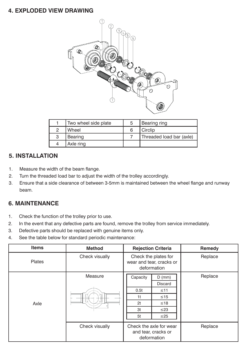#### **4. EXPLODED VIEW DRAWING**



|   | Two wheel side plate | 5 | Bearing ring             |
|---|----------------------|---|--------------------------|
|   | Wheel                |   | <b>Circlip</b>           |
| 3 | Bearing              |   | Threaded load bar (axle) |
|   | Axle ring            |   |                          |

#### **5. INSTALLATION**

- 1. Measure the width of the beam flange.
- 2. Turn the threaded load bar to adjust the width of the trolley accordingly.
- 3. Ensure that a side clearance of between 3-5mm is maintained between the wheel flange and runway beam.

#### **6. MAINTENANCE**

- 1. Check the function of the trolley prior to use.
- 2. In the event that any defective parts are found, remove the trolley from service immediately.
- 3. Defective parts should be replaced with genuine items only.
- 4. See the table below for standard periodic maintenance:

| <b>Items</b>  | <b>Method</b>  | <b>Rejection Criteria</b>                                                                                                                           | Remedy  |
|---------------|----------------|-----------------------------------------------------------------------------------------------------------------------------------------------------|---------|
| <b>Plates</b> | Check visually | Check the plates for<br>wear and tear, cracks or<br>deformation                                                                                     | Replace |
| Axle          | Measure        | Capacity<br>$D$ (mm)<br><b>Discard</b><br>0.5t<br>$\leq 11$<br>$\leq 15$<br>1 <sup>t</sup><br>2t<br>$\leq 18$<br>3t<br>$\leq$ 23<br>5t<br>$\leq$ 25 | Replace |
|               | Check visually | Check the axle for wear<br>and tear, cracks or<br>deformation                                                                                       | Replace |